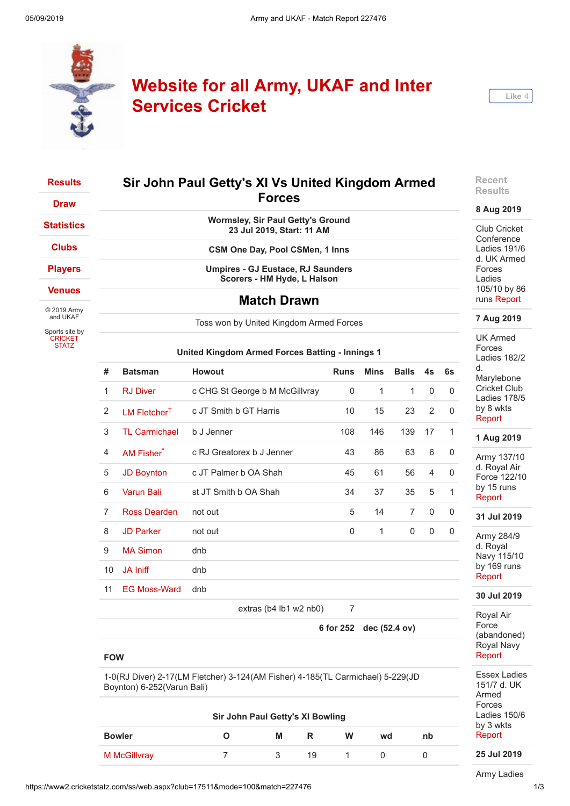

# **Website for all Army, UKAF and Inter Services Cricket**



## **[Results](https://www2.cricketstatz.com/ss/web.aspx?club=17511&team=)**

**[Draw](https://www2.cricketstatz.com/ss/web.aspx?mode=2&club=17511&team=)**

**[Statistics](https://www2.cricketstatz.com/ss/web.aspx?mode=104&club=17511&team=)**

**[Clubs](https://www2.cricketstatz.com/ss/web.aspx?mode=16&club=17511&team=)**

**[Players](https://www2.cricketstatz.com/ss/web.aspx?mode=20&club=17511&team=)**

**[Venues](https://www2.cricketstatz.com/ss/web.aspx?mode=15&club=17511&team=)**

© 2019 Army and UKAF

Sports site by **[CRICKET](https://www.cricketstatz.com/) STATZ** 

## **Sir John Paul Getty's XI Vs United Kingdom Armed Forces**

**Wormsley, Sir Paul Getty's Ground 23 Jul 2019, Start: 11 AM**

**CSM One Day, Pool CSMen, 1 Inns**

**Umpires - GJ Eustace, RJ Saunders Scorers - HM Hyde, L Halson**

### **Match Drawn**

Toss won by United Kingdom Armed Forces

#### **United Kingdom Armed Forces Batting - Innings 1**

| #              | <b>Batsman</b>           | <b>Howout</b>                         | <b>Runs</b>    | <b>Mins</b>  | <b>Balls</b>   | 4s       | 6s           |
|----------------|--------------------------|---------------------------------------|----------------|--------------|----------------|----------|--------------|
| $\mathbf{1}$   | <b>RJ Diver</b>          | c CHG St George b M McGillvray        | 0              | $\mathbf{1}$ | $\mathbf{1}$   | $\Omega$ | $\Omega$     |
| 2              | LM Fletcher <sup>†</sup> | c JT Smith b GT Harris                | 10             | 15           | 23             | 2        | $\Omega$     |
| 3              | <b>TL Carmichael</b>     | b J Jenner                            | 108            | 146          | 139            | 17       | 1            |
| $\overline{4}$ | <b>AM Fisher</b>         | c RJ Greatorex b J Jenner             | 43             | 86           | 63             | 6        | 0            |
| 5              | <b>JD Boynton</b>        | c JT Palmer b OA Shah                 | 45             | 61           | 56             | 4        | $\Omega$     |
| 6              | <b>Varun Bali</b>        | st JT Smith b OA Shah                 | 34             | 37           | 35             | 5        | $\mathbf{1}$ |
| $\overline{7}$ | Ross Dearden             | not out                               | 5              | 14           | $\overline{7}$ | 0        | $\Omega$     |
| 8              | <b>JD Parker</b>         | not out                               | 0              | 1            | $\Omega$       | 0        | 0            |
| 9              | <b>MA Simon</b>          | dnb                                   |                |              |                |          |              |
| 10             | JA Iniff                 | dnb                                   |                |              |                |          |              |
| 11             | <b>EG Moss-Ward</b>      | dnb                                   |                |              |                |          |              |
|                |                          | $\alpha$ tron (h 1 lh 1 $\mu$ 2 nh 0) | $\overline{ }$ |              |                |          |              |

extras ( $b4$  lb1 w2 nb0)

**6 for 252 dec (52.4 ov)**

#### **FOW**

1-0(RJ Diver) 2-17(LM Fletcher) 3-124(AM Fisher) 4-185(TL Carmichael) 5-229(JD Boynton) 6-252(Varun Bali)

| Sir John Paul Getty's XI Bowling |  |   |    |   |    |    |  |
|----------------------------------|--|---|----|---|----|----|--|
| <b>Bowler</b>                    |  | М | R  | W | wd | nb |  |
| M McGillvray                     |  |   | 19 |   |    |    |  |

**Recent Results**

#### **8 Aug 2019**

Club Cricket **Conference** Ladies 191/6 d. UK Armed Forces Ladies 105/10 by 86 runs [Report](https://www2.cricketstatz.com/ss/runreport2.aspx?club=17511&mode=100&match=227973)

**7 Aug 2019**

UK Armed **Forces** Ladies 182/2 d. Marylebone Cricket Club Ladies 178/5 by 8 wkts [Report](https://www2.cricketstatz.com/ss/runreport2.aspx?club=17511&mode=100&match=227972)

#### **1 Aug 2019**

Army 137/10 d. Royal Air Force 122/10 by 15 runs [Report](https://www2.cricketstatz.com/ss/runreport2.aspx?club=17511&mode=100&match=227742)

**31 Jul 2019**

Army 284/9 d. Royal Navy 115/10 by 169 runs [Report](https://www2.cricketstatz.com/ss/runreport2.aspx?club=17511&mode=100&match=227727)

#### **30 Jul 2019**

Royal Air Force (abandoned) Royal Navy [Report](https://www2.cricketstatz.com/ss/runreport2.aspx?club=17511&mode=100&match=227726)

Essex Ladies 151/7 d. UK Armed Forces Ladies 150/6 by 3 wkts [Report](https://www2.cricketstatz.com/ss/runreport2.aspx?club=17511&mode=100&match=227785)

**25 Jul 2019**

Army Ladies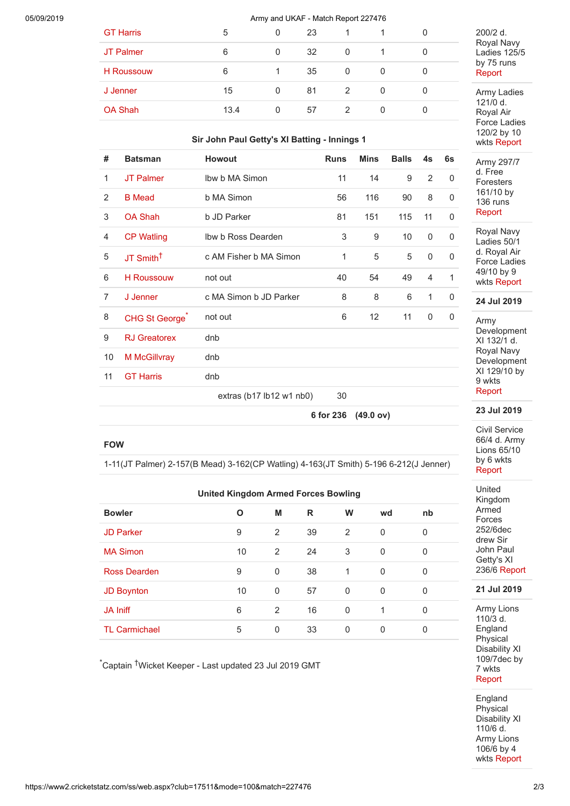#### 05/09/2019 Army and UKAF - Match Report 227476

| <b>GT Harris</b>  | 5    | 0 | 23 |   |   |
|-------------------|------|---|----|---|---|
| JT Palmer         | 6    | 0 | 32 | 0 | 0 |
| <b>H</b> Roussouw | 6    |   | 35 | 0 | 0 |
| J Jenner          | 15   | 0 | 81 | 2 | 0 |
| <b>OA Shah</b>    | 13.4 | 0 | 57 | 2 | 0 |
|                   |      |   |    |   |   |

#### **Sir John Paul Getty's XI Batting - Innings 1**

| #              | <b>Batsman</b>        | <b>Howout</b>                | <b>Runs</b> | <b>Mins</b> | <b>Balls</b> | 4s             | 6s           |
|----------------|-----------------------|------------------------------|-------------|-------------|--------------|----------------|--------------|
| 1              | <b>JT Palmer</b>      | Ibw b MA Simon               | 11          | 14          | 9            | 2              | $\Omega$     |
| 2              | <b>B</b> Mead         | b MA Simon                   | 56          | 116         | 90           | 8              | 0            |
| 3              | <b>OA Shah</b>        | b JD Parker                  | 81          | 151         | 115          | 11             | 0            |
| 4              | <b>CP Watling</b>     | Ibw b Ross Dearden           | 3           | 9           | 10           | 0              | 0            |
| 5              | JT Smith <sup>+</sup> | c AM Fisher b MA Simon       | 1           | 5           | 5            | 0              | $\mathbf 0$  |
| 6              | <b>H</b> Roussouw     | not out                      | 40          | 54          | 49           | $\overline{4}$ | $\mathbf{1}$ |
| $\overline{7}$ | J Jenner              | c MA Simon b JD Parker       | 8           | 8           | 6            | 1              | 0            |
| 8              | CHG St George         | not out                      | 6           | 12          | 11           | 0              | 0            |
| 9              | <b>RJ</b> Greatorex   | dnb                          |             |             |              |                |              |
| 10             | M McGillvray          | dnb                          |             |             |              |                |              |
| 11             | <b>GT Harris</b>      | dnb                          |             |             |              |                |              |
|                |                       | extras ( $b17 lb12 w1 nb0$ ) | 30          |             |              |                |              |

**6 for 236 (49.0 ov)**

#### **FOW**

1-11(JT Palmer) 2-157(B Mead) 3-162(CP Watling) 4-163(JT Smith) 5-196 6-212(J Jenner)

| <b>United Kingdom Armed Forces Bowling</b> |    |          |    |          |             |          |  |  |
|--------------------------------------------|----|----------|----|----------|-------------|----------|--|--|
| <b>Bowler</b>                              | O  | М        | R  | W        | wd          | nb       |  |  |
| <b>JD Parker</b>                           | 9  | 2        | 39 | 2        | $\mathbf 0$ | 0        |  |  |
| <b>MA Simon</b>                            | 10 | 2        | 24 | 3        | 0           | $\Omega$ |  |  |
| Ross Dearden                               | 9  | $\Omega$ | 38 | 1        | $\Omega$    | 0        |  |  |
| <b>JD Boynton</b>                          | 10 | $\Omega$ | 57 | $\Omega$ | 0           | 0        |  |  |
| <b>JA Iniff</b>                            | 6  | 2        | 16 | 0        | 1           | 0        |  |  |
| <b>TL Carmichael</b>                       | 5  | 0        | 33 | 0        | 0           | 0        |  |  |

\*Captain †Wicket Keeper - Last updated 23 Jul 2019 GMT

#### 200/2 d. Royal Navy Ladies 125/5 by 75 runs [Report](https://www2.cricketstatz.com/ss/runreport2.aspx?club=17511&mode=100&match=227529)

Army Ladies 121/0 d. Royal Air Force Ladies 120/2 by 10 wkts [Report](https://www2.cricketstatz.com/ss/runreport2.aspx?club=17511&mode=100&match=227528)

Army 297/7 d. Free Foresters 161/10 by 136 runs [Report](https://www2.cricketstatz.com/ss/runreport2.aspx?club=17511&mode=100&match=227520)

Royal Navy Ladies 50/1 d. Royal Air Force Ladies 49/10 by 9 wkts [Report](https://www2.cricketstatz.com/ss/runreport2.aspx?club=17511&mode=100&match=227527)

#### **24 Jul 2019**

Army Development XI 132/1 d. Royal Navy Development XI 129/10 by 9 wkts [Report](https://www2.cricketstatz.com/ss/runreport2.aspx?club=17511&mode=100&match=227519)

**23 Jul 2019**

Civil Service 66/4 d. Army Lions 65/10 by 6 wkts [Report](https://www2.cricketstatz.com/ss/runreport2.aspx?club=17511&mode=100&match=227467)

United Kingdom Armed Forces 252/6dec drew Sir John Paul Getty's XI 236/6 [Report](https://www2.cricketstatz.com/ss/runreport2.aspx?club=17511&mode=100&match=227476)

#### **21 Jul 2019**

Army Lions  $110/3$  d. England Physical Disability XI 109/7dec by 7 wkts [Report](https://www2.cricketstatz.com/ss/runreport2.aspx?club=17511&mode=100&match=226407)

**England Physical** Disability XI 110/6 d. Army Lions 106/6 by 4 wkts [Report](https://www2.cricketstatz.com/ss/runreport2.aspx?club=17511&mode=100&match=226404)